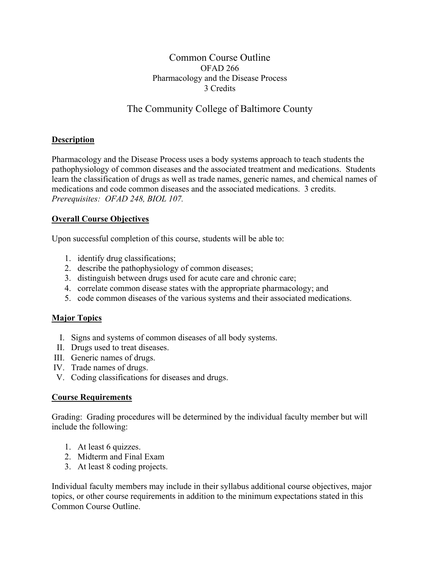# Common Course Outline OFAD 266 Pharmacology and the Disease Process 3 Credits

# The Community College of Baltimore County

## **Description**

Pharmacology and the Disease Process uses a body systems approach to teach students the pathophysiology of common diseases and the associated treatment and medications. Students learn the classification of drugs as well as trade names, generic names, and chemical names of medications and code common diseases and the associated medications. 3 credits. *Prerequisites: OFAD 248, BIOL 107.* 

## **Overall Course Objectives**

Upon successful completion of this course, students will be able to:

- 1. identify drug classifications;
- 2. describe the pathophysiology of common diseases;
- 3. distinguish between drugs used for acute care and chronic care;
- 4. correlate common disease states with the appropriate pharmacology; and
- 5. code common diseases of the various systems and their associated medications.

## **Major Topics**

- I. Signs and systems of common diseases of all body systems.
- II. Drugs used to treat diseases.
- III. Generic names of drugs.
- IV. Trade names of drugs.
- V. Coding classifications for diseases and drugs.

## **Course Requirements**

Grading: Grading procedures will be determined by the individual faculty member but will include the following:

- 1. At least 6 quizzes.
- 2. Midterm and Final Exam
- 3. At least 8 coding projects.

Individual faculty members may include in their syllabus additional course objectives, major topics, or other course requirements in addition to the minimum expectations stated in this Common Course Outline.